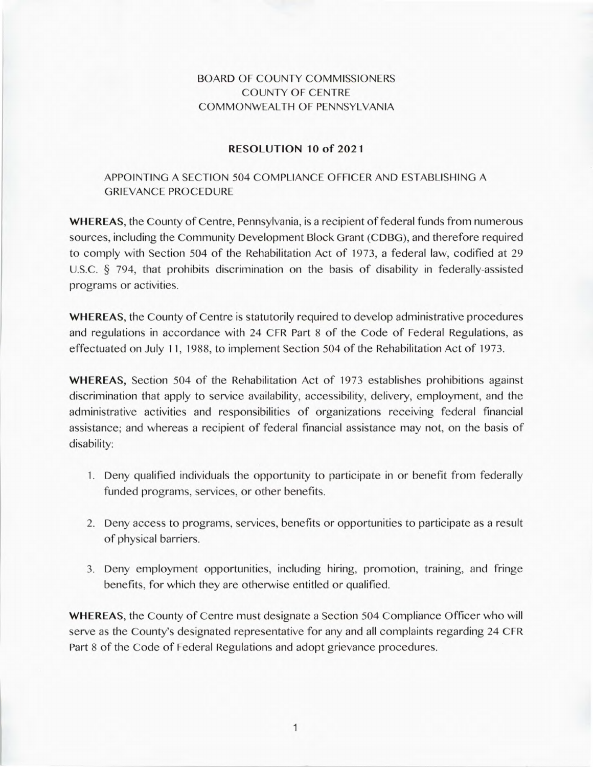## BOARD OF COUNTY COMMISSIONERS COUNTY OF CENTRE COMMONWEALTH OF PENNSYLVANIA

## **RESOLUTION 10 of 2021**

## APPOINTING A SECTION 504 COMPLIANCE OFFICER AND ESTABLISHING A GRIEVANCE PROCEDURE

**WHEREAS,** the County of Centre, Pennsylvania, is a recipient of federal funds from numerous sources, including the Community Development Block Grant (CDBG), and therefore required to comply with Section 504 of the Rehabilitation Act of 1973, a federal law, codified at 29 U.S.C. § 794, that prohibits discrimination on the basis of disability in federally-assisted programs or activities.

**WHEREAS,** the County of Centre is statutorily required to develop administrative procedures and regulations in accordance with 24 CFR Part 8 of the Code of Federal Regulations, as effectuated on July 11, 1988, to implement Section 504 of the Rehabilitation Act of 1973.

**WHEREAS,** Section 504 of the Rehabilitation Act of 1973 establishes prohibitions against discrimination that apply to service availability, accessibility, delivery, employment, and the administrative activities and responsibilities of organizations receiving federal financial assistance; and whereas a recipient of federal financial assistance may not, on the basis of disability:

- 1. Deny qualified individuals the opportunity to participate in or benefit from federally funded programs, services, or other benefits.
- 2. Deny access to programs, services, benefits or opportunities to participate as a result of physical barriers.
- 3. Deny employment opportunities, including hiring, promotion, training, and fringe benefits, for which they are otherwise entitled or qualified.

**WHEREAS,** the County of Centre must designate a Section 504 Compliance Officer who will serve as the County's designated representative for any and all complaints regarding 24 CFR Part 8 of the Code of Federal Regulations and adopt grievance procedures.